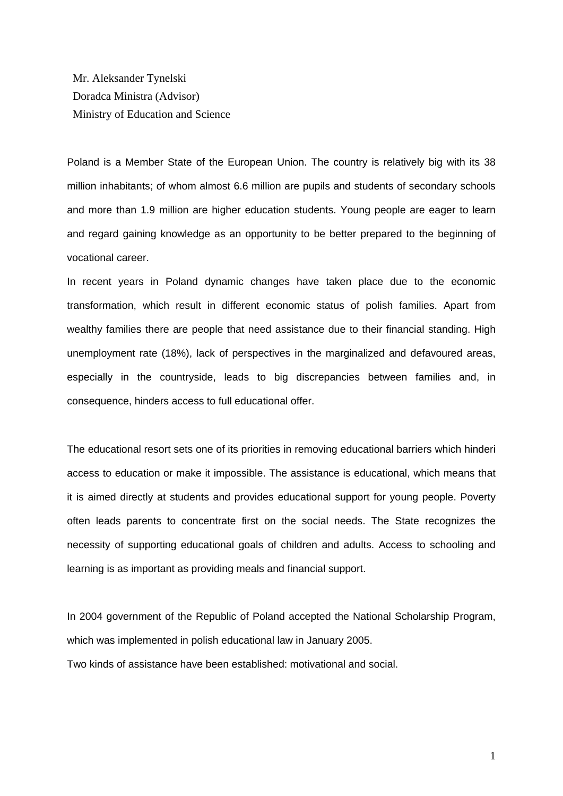Mr. Aleksander Tynelski Doradca Ministra (Advisor) Ministry of Education and Science

Poland is a Member State of the European Union. The country is relatively big with its 38 million inhabitants; of whom almost 6.6 million are pupils and students of secondary schools and more than 1.9 million are higher education students. Young people are eager to learn and regard gaining knowledge as an opportunity to be better prepared to the beginning of vocational career.

In recent years in Poland dynamic changes have taken place due to the economic transformation, which result in different economic status of polish families. Apart from wealthy families there are people that need assistance due to their financial standing. High unemployment rate (18%), lack of perspectives in the marginalized and defavoured areas, especially in the countryside, leads to big discrepancies between families and, in consequence, hinders access to full educational offer.

The educational resort sets one of its priorities in removing educational barriers which hinderi access to education or make it impossible. The assistance is educational, which means that it is aimed directly at students and provides educational support for young people. Poverty often leads parents to concentrate first on the social needs. The State recognizes the necessity of supporting educational goals of children and adults. Access to schooling and learning is as important as providing meals and financial support.

In 2004 government of the Republic of Poland accepted the National Scholarship Program, which was implemented in polish educational law in January 2005. Two kinds of assistance have been established: motivational and social.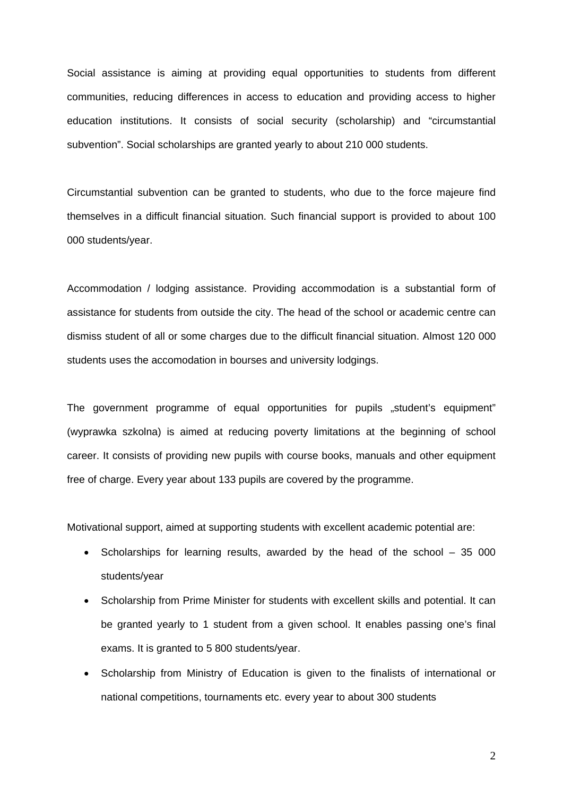Social assistance is aiming at providing equal opportunities to students from different communities, reducing differences in access to education and providing access to higher education institutions. It consists of social security (scholarship) and "circumstantial subvention". Social scholarships are granted yearly to about 210 000 students.

Circumstantial subvention can be granted to students, who due to the force majeure find themselves in a difficult financial situation. Such financial support is provided to about 100 000 students/year.

Accommodation / lodging assistance. Providing accommodation is a substantial form of assistance for students from outside the city. The head of the school or academic centre can dismiss student of all or some charges due to the difficult financial situation. Almost 120 000 students uses the accomodation in bourses and university lodgings.

The government programme of equal opportunities for pupils "student's equipment" (wyprawka szkolna) is aimed at reducing poverty limitations at the beginning of school career. It consists of providing new pupils with course books, manuals and other equipment free of charge. Every year about 133 pupils are covered by the programme.

Motivational support, aimed at supporting students with excellent academic potential are:

- Scholarships for learning results, awarded by the head of the school 35 000 students/year
- Scholarship from Prime Minister for students with excellent skills and potential. It can be granted yearly to 1 student from a given school. It enables passing one's final exams. It is granted to 5 800 students/year.
- Scholarship from Ministry of Education is given to the finalists of international or national competitions, tournaments etc. every year to about 300 students

2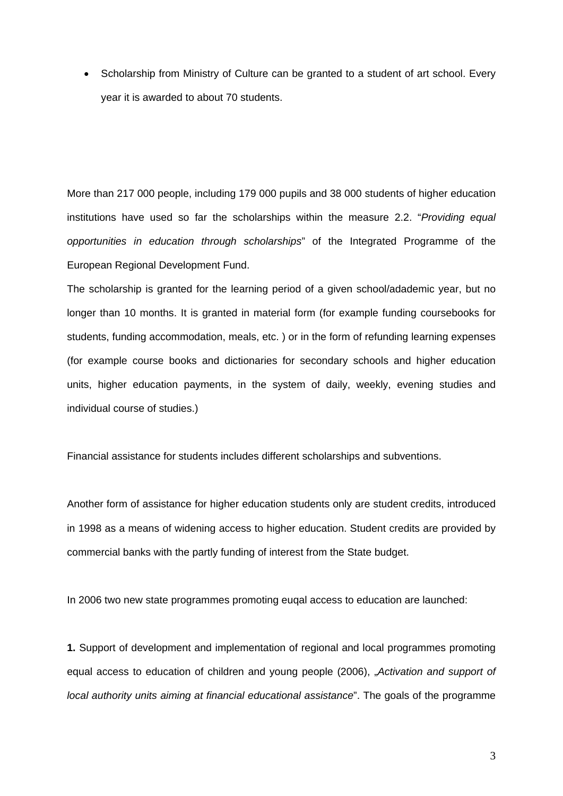• Scholarship from Ministry of Culture can be granted to a student of art school. Every year it is awarded to about 70 students.

More than 217 000 people, including 179 000 pupils and 38 000 students of higher education institutions have used so far the scholarships within the measure 2.2. "*Providing equal opportunities in education through scholarships*" of the Integrated Programme of the European Regional Development Fund.

The scholarship is granted for the learning period of a given school/adademic year, but no longer than 10 months. It is granted in material form (for example funding coursebooks for students, funding accommodation, meals, etc. ) or in the form of refunding learning expenses (for example course books and dictionaries for secondary schools and higher education units, higher education payments, in the system of daily, weekly, evening studies and individual course of studies.)

Financial assistance for students includes different scholarships and subventions.

Another form of assistance for higher education students only are student credits, introduced in 1998 as a means of widening access to higher education. Student credits are provided by commercial banks with the partly funding of interest from the State budget.

In 2006 two new state programmes promoting euqal access to education are launched:

**1.** Support of development and implementation of regional and local programmes promoting equal access to education of children and young people (2006), "*Activation and support of local authority units aiming at financial educational assistance*". The goals of the programme

3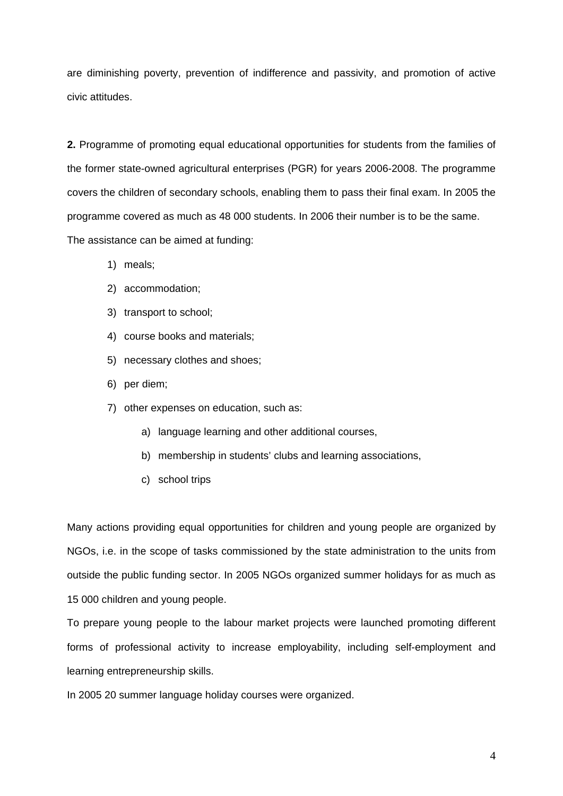are diminishing poverty, prevention of indifference and passivity, and promotion of active civic attitudes.

**2.** Programme of promoting equal educational opportunities for students from the families of the former state-owned agricultural enterprises (PGR) for years 2006-2008. The programme covers the children of secondary schools, enabling them to pass their final exam. In 2005 the programme covered as much as 48 000 students. In 2006 their number is to be the same. The assistance can be aimed at funding:

- 1) meals;
- 2) accommodation;
- 3) transport to school;
- 4) course books and materials;
- 5) necessary clothes and shoes;
- 6) per diem;
- 7) other expenses on education, such as:
	- a) language learning and other additional courses,
	- b) membership in students' clubs and learning associations,
	- c) school trips

Many actions providing equal opportunities for children and young people are organized by NGOs, i.e. in the scope of tasks commissioned by the state administration to the units from outside the public funding sector. In 2005 NGOs organized summer holidays for as much as 15 000 children and young people.

To prepare young people to the labour market projects were launched promoting different forms of professional activity to increase employability, including self-employment and learning entrepreneurship skills.

In 2005 20 summer language holiday courses were organized.